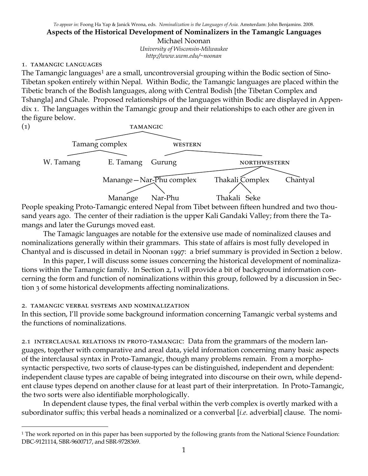### 1. tamangic languages

The Tamangic languages<sup>[1](#page-0-0)</sup> are a small, uncontroversial grouping within the Bodic section of Sino-Tibetan spoken entirely within Nepal. Within Bodic, the Tamangic languages are placed within the Tibetic branch of the Bodish languages, along with Central Bodish [the Tibetan Complex and Tshangla] and Ghale. Proposed relationships of the languages within Bodic are displayed in Appendix 1. The languages within the Tamangic group and their relationships to each other are given in the figure below.

 $\overline{a}$ 



People speaking Proto-Tamangic entered Nepal from Tibet between fifteen hundred and two thousand years ago. The center of their radiation is the upper Kali Gandaki Valley; from there the Tamangs and later the Gurungs moved east.

 The Tamagic languages are notable for the extensive use made of nominalized clauses and nominalizations generally within their grammars. This state of affairs is most fully developed in Chantyal and is discussed in detail in Noonan 1997: a brief summary is provided in Section 2 below.

 In this paper, I will discuss some issues concerning the historical development of nominalizations within the Tamangic family. In Section 2, I will provide a bit of background information concerning the form and function of nominalizations within this group, followed by a discussion in Section 3 of some historical developments affecting nominalizations.

## 2. tamangic verbal systems and nominalization

In this section, I'll provide some background information concerning Tamangic verbal systems and the functions of nominalizations.

2.1 interclausal relations in proto-tamangic: Data from the grammars of the modern languages, together with comparative and areal data, yield information concerning many basic aspects of the interclausal syntax in Proto-Tamangic, though many problems remain. From a morphosyntactic perspective, two sorts of clause-types can be distinguished, independent and dependent: independent clause types are capable of being integrated into discourse on their own, while dependent clause types depend on another clause for at least part of their interpretation. In Proto-Tamangic, the two sorts were also identifiable morphologically.

 In dependent clause types, the final verbal within the verb complex is overtly marked with a subordinator suffix; this verbal heads a nominalized or a converbal [*i.e.* adverbial] clause. The nomi-

<span id="page-0-0"></span> $1$  The work reported on in this paper has been supported by the following grants from the National Science Foundation: DBC-9121114, SBR-9600717, and SBR-9728369.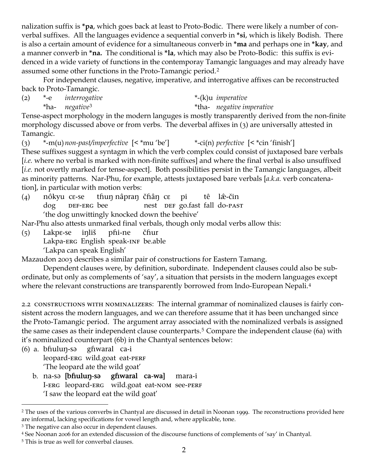nalization suffix is **\*pa**, which goes back at least to Proto-Bodic. There were likely a number of converbal suffixes. All the languages evidence a sequential converb in **\*si**, which is likely Bodish. There is also a certain amount of evidence for a simultaneous converb in **\*ma** and perhaps one in **\*kay**, and a manner converb in **\*na.** The conditional is **\*la**, which may also be Proto-Bodic: this suffix is evidenced in a wide variety of functions in the contemporay Tamangic languages and may already have assumed some other functions in the Proto-Tamangic period.[2](#page-1-0)

 For independent clauses, negative, imperative, and interrogative affixes can be reconstructed back to Proto-Tamangic.

(2) \*-e *interrogative* \*-(k)u *imperative* \*ha- *negative*[3](#page-1-1) \*tha- *negative imperative* 

Tense-aspect morphology in the modern languges is mostly transparently derived from the non-finite morphology discussed above or from verbs. The deverbal affixes in (3) are universally attested in Tamangic.

(3) \*-m(u) *non-past/imperfective* [< \*mu 'be'] \*-ci(n) *perfective* [< \*cin 'finish'] These suffixes suggest a syntagm in which the verb complex could consist of juxtaposed bare verbals [*i.e.* where no verbal is marked with non-finite suffixes] and where the final verbal is also unsuffixed [*i.e.* not overtly marked for tense-aspect]. Both possibilities persist in the Tamangic languages, albeit as minority patterns. Nar-Phu, for example, attests juxtaposed bare verbals [*a.k.a.* verb concatenation], in particular with motion verbs:

(4) nôkyu c $\varepsilon$ -se thun nâpran čhân c $\varepsilon$  pi tê l $\hat{\varepsilon}$ -čin dog def-erg bee nest def go.fast fall do-past 'the dog unwittingly knocked down the beehive'

Nar-Phu also attests unmarked final verbals, though only modal verbs allow this:

 $(5)$  Lakpe-se inliš phi-ne čhur Lakpa-ERG English speak-INF be.able 'Lakpa can speak English'

Mazaudon 2003 describes a similar pair of constructions for Eastern Tamang.

 Dependent clauses were, by definition, subordinate. Independent clauses could also be subordinate, but only as complements of 'say', a situation that persists in the modern languages except where the relevant constructions are transparently borrowed from Indo-European Nepali.<sup>[4](#page-1-2)</sup>

2.2 constructions with nominalizers: The internal grammar of nominalized clauses is fairly consistent across the modern languages, and we can therefore assume that it has been unchanged since the Proto-Tamangic period. The argument array associated with the nominalized verbals is assigned the same cases as their independent clause counterparts.<sup>[5](#page-1-3)</sup> Compare the independent clause (6a) with it's nominalized counterpart (6b) in the Chantyal sentences below:

- $(6)$  a. bhulun-sa ghwaral ca-i leopard-erg wild.goat eat-perf 'The leopard ate the wild goat'
	- b. na-sa **[bhulun-sa ghwaral ca-wa]** mara-i I-erg leopard-erg wild.goat eat-nom see-perf 'I saw the leopard eat the wild goat'

<span id="page-1-1"></span>3 The negative can also occur in dependent clauses.

 $\overline{a}$ 

<span id="page-1-0"></span><sup>&</sup>lt;sup>2</sup> The uses of the various converbs in Chantyal are discussed in detail in Noonan 1999. The reconstructions provided here are informal, lacking specifications for vowel length and, where applicable, tone.

<span id="page-1-2"></span><sup>4</sup> See Noonan 2006 for an extended discussion of the discourse functions of complements of 'say' in Chantyal.

<span id="page-1-3"></span><sup>&</sup>lt;sup>5</sup> This is true as well for converbal clauses.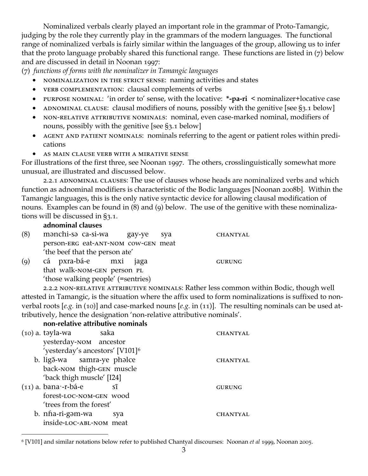Nominalized verbals clearly played an important role in the grammar of Proto-Tamangic, judging by the role they currently play in the grammars of the modern languages. The functional range of nominalized verbals is fairly similar within the languages of the group, allowing us to infer that the proto language probably shared this functional range. These functions are listed in (7) below and are discussed in detail in Noonan 1997:

(7) *functions of forms with the nominalizer in Tamangic languages*

- NOMINALIZATION IN THE STRICT SENSE: naming activities and states
- VERB COMPLEMENTATION: clausal complements of verbs
- purpose nominal: 'in order to' sense, with the locative: **\*-pa-ri** < nominalizer+locative case
- ADNOMINAL CLAUSE: clausal modifiers of nouns, possibly with the genitive [see §3.1 below]
- NON-RELATIVE ATTRIBUTIVE NOMINALS: nominal, even case-marked nominal, modifiers of nouns, possibly with the genitive [see §3.1 below]
- AGENT AND PATIENT NOMINALS: nominals referring to the agent or patient roles within predications
- as main clause verb with a mirative sense

For illustrations of the first three, see Noonan 1997. The others, crosslinguistically somewhat more unusual, are illustrated and discussed below.

2.2.1 adnominal clauses: The use of clauses whose heads are nominalized verbs and which function as adnominal modifiers is characteristic of the Bodic languages [Noonan 2008b]. Within the Tamangic languages, this is the only native syntactic device for allowing clausal modification of nouns. Examples can be found in (8) and (9) below. The use of the genitive with these nominalizations will be discussed in §3.1.

## **adnominal clauses**

| (8) | mənchi-sə ca-si-wa gay-ye sya       |  |  | <b>CHANTYAL</b> |  |  |
|-----|-------------------------------------|--|--|-----------------|--|--|
|     | person-ERG eat-ANT-NOM COW-GEN meat |  |  |                 |  |  |
|     | 'the beef that the person ate'      |  |  |                 |  |  |
| (q) | cá pxra-bá-e mxi jaga               |  |  | <b>GURUNG</b>   |  |  |
|     | that walk-NOM-GEN person PL         |  |  |                 |  |  |
|     | 'those walking people' (=sentries)  |  |  |                 |  |  |

2.2.2 non-relative attributive nominals: Rather less common within Bodic, though well attested in Tamangic, is the situation where the affix used to form nominalizations is suffixed to nonverbal roots [*e.g.* in (10)] and case-marked nouns [*e.g.* in (11)]. The resulting nominals can be used attributively, hence the designation 'non-relative attributive nominals'.

# **non-relative attributive nominals**

| (10) a. təyla-wa<br>saka                    |     | CHANTYAL        |
|---------------------------------------------|-----|-----------------|
| yesterday-NOM ancestor                      |     |                 |
| 'yesterday's ancestors' [V101] <sup>6</sup> |     |                 |
| b. ligõ-wa samra-ye phalce                  |     | <b>CHANTYAL</b> |
| back-NOM thigh-GEN muscle                   |     |                 |
| 'back thigh muscle' [I24]                   |     |                 |
| $(11)$ a. bana - r-bá-e                     | SĨ. | <b>GURUNG</b>   |
| forest-LOC-NOM-GEN wood                     |     |                 |
| 'trees from the forest'                     |     |                 |
| b. nha-ri-gəm-wa                            | sya | CHANTYAL        |
| inside-LOC-ABL-NOM meat                     |     |                 |

<span id="page-2-0"></span> $\overline{a}$ 6 [V101] and similar notations below refer to published Chantyal discourses: Noonan *et al* 1999, Noonan 2005.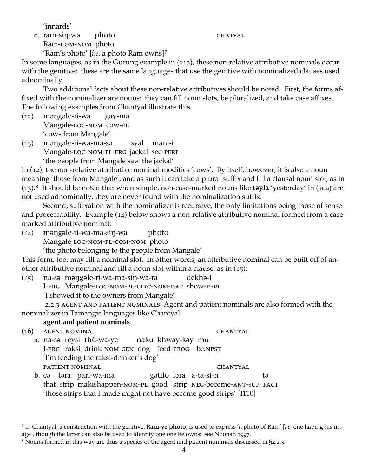'innards'

c. ram-sin-wa photo chatyal Ram-com-nom photo

'Ram's photo' [*i.e.* a photo Ram owns][7](#page-3-0)

In some languages, as in the Gurung example in (11a), these non-relative attributive nominals occur with the genitive: these are the same languages that use the genitive with nominalized clauses used adnominally.

 Two additional facts about these non-relative attributives should be noted. First, the forms affixed with the nominalizer are nouns: they can fill noun slots, be pluralized, and take case affixes. The following examples from Chantyal illustrate this.

 $(12)$  məngəle-ri-wa gay-ma Mangale-loc-nom cow-pl 'cows from Mangale'

 $(13)$  məngəle-ri-wa-ma-sə syal mara-i Mangale-loc-nom-pl-erg jackal see-perf 'the people from Mangale saw the jackal'

In (12), the non-relative attributive nominal modifies 'cows'. By itself, however, it is also a noun meaning 'those from Mangale', and as such it can take a plural suffix and fill a clausal noun slot, as in  $(13)$ .<sup>[8](#page-3-1)</sup> It should be noted that when simple, non-case-marked nouns like **tayla** 'yesterday' in (10a) are not used adnominally, they are never found with the nominalization suffix.

 Second, suffixation with the nominalizer is recursive, the only limitations being those of sense and processability. Example (14) below shows a non-relative attributive nominal formed from a casemarked attributive nominal:

 $(14)$  məngəle-ri-wa-ma-sin-wa photo Mangale-loc-nom-pl-com-nom photo

'the photo belonging to the people from Mangale'

This form, too, may fill a nominal slot. In other words, an attributive nominal can be built off of another attributive nominal and fill a noun slot within a clause, as in (15):

 $(15)$  na-sa mangale-ri-wa-ma-sin-wa-ra dekha-i

I-erg Mangale-loc-nom-pl-circ-nom-dat show-perf

'I showed it to the owners from Mangale'

 2.2.3 agent and patient nominals: Agent and patient nominals are also formed with the nominalizer in Tamangic languages like Chantyal.

# **agent and patient nominals**

 $\overline{a}$ 

(16) agent nominal chantyal a. na-sə reysi thũ-wa-ye naku khway-kəy mu I-erg raksi drink-nom-gen dog feed-prog be.npst 'I'm feeding the raksi-drinker's dog' PATIENT NOMINAL CHANTYAL b. c¼ l¼ra pari-wa-ma g¼tilo l¼ra a-ta-si-n t¼ that strip make.happen-nom-pl good strip neg-become-ant-sup fact 'those strips that I made might not have become good strips' [I110]

<sup>7</sup> In Chantyal, a construction with the genitive, **Ram-ye photo**, is used to express 'a photo of Ram' [*i.e.* one having his im-

<span id="page-3-1"></span><span id="page-3-0"></span>age], though the latter can also be used to identify one one he owns: see Noonan 1997.<br><sup>8</sup> Nouns formed in this way are thus a species of the agent and patient nominals discussed in §2.2.3.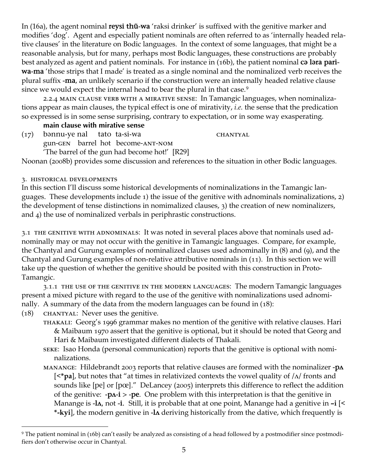<span id="page-4-0"></span>In (16a), the agent nominal **reysi thũ-wa** 'raksi drinker' is suffixed with the genitive marker and modifies 'dog'. Agent and especially patient nominals are often referred to as 'internally headed relative clauses' in the literature on Bodic languages. In the context of some languages, that might be a reasonable analysis, but for many, perhaps most Bodic languages, these constructions are probably best analyzed as agent and patient nominals. For instance in (16b), the patient nominal **calaries** pari**wa-ma** 'those strips that I made' is treated as a single nominal and the nominalized verb receives the plural suffix **-ma**, an unlikely scenario if the construction were an internally headed relative clause since we would expect the internal head to bear the plural in that case.<sup>[9](#page-4-0)</sup>

2.2.4 main clause verb with a mirative sense: In Tamangic languages, when nominalizations appear as main clauses, the typical effect is one of mirativity, *i.e.* the sense that the predication so expressed is in some sense surprising, contrary to expectation, or in some way exasperating.

### **main clause with mirative sense**

(17) bannu-ye nal tato ta-si-wa chantyal chantyal gun-gen barrel hot become-ant-nom 'The barrel of the gun had become hot!' [R29]

Noonan (2008b) provides some discussion and references to the situation in other Bodic languages.

## 3. historical developments

In this section I'll discuss some historical developments of nominalizations in the Tamangic languages. These developments include 1) the issue of the genitive with adnominals nominalizations, 2) the development of tense distinctions in nomimalized clauses, 3) the creation of new nominalizers, and 4) the use of nominalized verbals in periphrastic constructions.

3.1 the genitive with adnominals: It was noted in several places above that nominals used adnominally may or may not occur with the genitive in Tamangic languages. Compare, for example, the Chantyal and Gurung examples of nominalized clauses used adnominally in (8) and (9), and the Chantyal and Gurung examples of non-relative attributive nominals in (11). In this section we will take up the question of whether the genitive should be posited with this construction in Proto-Tamangic.

3.1.1 the use of the genitive in the modern languages: The modern Tamangic languages present a mixed picture with regard to the use of the genitive with nominalizations used adnominally. A summary of the data from the modern languages can be found in (18):

(18) chantyal: Never uses the genitive.

 $\overline{a}$ 

- thakali: Georg's 1996 grammar makes no mention of the genitive with relative clauses. Hari & Maibaum 1970 assert that the genitive is optional, but it should be noted that Georg and Hari & Maibaum investigated different dialects of Thakali.
- seke: Isao Honda (personal communication) reports that the genitive is optional with nominalizations.
- manange: Hildebrandt 2003 reports that relative clauses are formed with the nominalizer  $-p\Delta$ [ $\le$ \*pa], but notes that "at times in relativized contexts the vowel quality of  $/\Lambda$  fronts and sounds like [pe] or [pœ]." DeLancey (2005) interprets this difference to reflect the addition of the genitive:  $-p\Delta-i$  >  $-pe$ . One problem with this interpretation is that the genitive in Manange is **-l**<sub>A</sub>, not **-i**. Still, it is probable that at one point, Manange had a genitive in **-i** [< \*-kyi], the modern genitive in -la deriving historically from the dative, which frequently is

<sup>9</sup> The patient nominal in (16b) can't easily be analyzed as consisting of a head followed by a postmodifier since postmodifiers don't otherwise occur in Chantyal.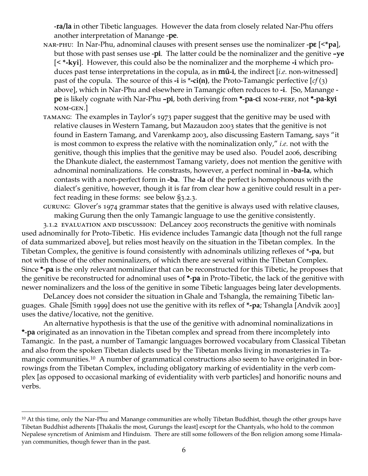<span id="page-5-0"></span>**-ra/la** in other Tibetic languages. However the data from closely related Nar-Phu offers another interpretation of Manange -**pe**.

- nar-phu: In Nar-Phu, adnominal clauses with present senses use the nominalizer  $-p\varepsilon$  [< $p$ a], but those with past senses use **-pi**. The latter could be the nominalizer and the genitive **–ye** [< **\*-kyi**]. However, this could also be the nominalizer and the morpheme **-i** which produces past tense interpretations in the copula, as in **muü-i**, the indirect [*i.e.* non-witnessed] past of the copula. The source of this **-i** is \***-ci(n)**, the Proto-Tamangic perfective [*cf* (3) above], which in Nar-Phu and elsewhere in Tamangic often reduces to **-i**. [So, Manange  **pe** is likely cognate with Nar-Phu **–pi**, both deriving from **\*-pa-ci** nom-perf, not **\*-pa-kyi** nom-gen.]
- tamang: The examples in Taylor's 1973 paper suggest that the genitive may be used with relative clauses in Western Tamang, but Mazaudon 2003 states that the genitive is not found in Eastern Tamang, and Varenkamp 2003, also discussing Eastern Tamang, says "it is most common to express the relative with the nominalization only," *i.e.* not with the genitive, though this implies that the genitive may be used also. Poudel 2006, describing the Dhankute dialect, the easternmost Tamang variety, does not mention the genitive with adnominal nominalizations. He constrasts, however, a perfect nominal in **-ba-la**, which contasts with a non-perfect form in **-ba**. The **-la** of the perfect is homophonous with the dialect's genitive, however, though it is far from clear how a genitive could result in a perfect reading in these forms: see below §3.2.3.
- gurung: Glover's 1974 grammar states that the genitive is always used with relative clauses, making Gurung then the only Tamangic language to use the genitive consistently.

3.1.2 evaluation and discussion: DeLancey 2005 reconstructs the genitive with nominals used adnominally for Proto-Tibetic. His evidence includes Tamangic data [though not the full range of data summarized above], but relies most heavily on the situation in the Tibetan complex. In the Tibetan Complex, the genitive is found consistently with adnominals utilizing reflexes of \***-pa**, but not with those of the other nominalizers, of which there are several within the Tibetan Complex. Since **\*-pa** is the only relevant nominalizer that can be reconstructed for this Tibetic, he proposes that the genitive be reconstructed for adnominal uses of **\*-pa** in Proto-Tibetic, the lack of the genitive with newer nominalizers and the loss of the genitive in some Tibetic languages being later developments.

 DeLancey does not consider the situation in Ghale and Tshangla, the remaining Tibetic languages. Ghale [Smith 1999] does not use the genitive with its reflex of **\*-pa**; Tshangla [Andvik 2003] uses the dative/locative, not the genitive.

 An alternative hypothesis is that the use of the genitive with adnominal nominalizations in **\*-pa** originated as an innovation in the Tibetan complex and spread from there incompletely into Tamangic. In the past, a number of Tamangic languages borrowed vocabulary from Classical Tibetan and also from the spoken Tibetan dialects used by the Tibetan monks living in monasteries in Tamangic communities.[10](#page-5-0) A number of grammatical constructions also seem to have originated in borrowings from the Tibetan Complex, including obligatory marking of evidentiality in the verb complex [as opposed to occasional marking of evidentiality with verb particles] and honorific nouns and verbs.

 $\overline{a}$ 

<sup>&</sup>lt;sup>10</sup> At this time, only the Nar-Phu and Manange communities are wholly Tibetan Buddhist, though the other groups have Tibetan Buddhist adherents [Thakalis the most, Gurungs the least] except for the Chantyals, who hold to the common Nepalese syncretism of Animism and Hinduism. There are still some followers of the Bon religion among some Himalayan communities, though fewer than in the past.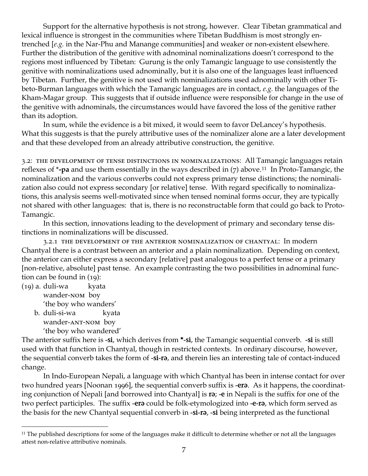<span id="page-6-0"></span> Support for the alternative hypothesis is not strong, however. Clear Tibetan grammatical and lexical influence is strongest in the communities where Tibetan Buddhism is most strongly entrenched [*e.g.* in the Nar-Phu and Manange communities] and weaker or non-existent elsewhere. Further the distribution of the genitive with adnominal nominalizations doesn't correspond to the regions most influenced by Tibetan: Gurung is the only Tamangic language to use consistently the genitive with nominalizations used adnominally, but it is also one of the languages least influenced by Tibetan. Further, the genitive is not used with nominalizations used adnominally with other Tibeto-Burman languages with which the Tamangic languages are in contact, *e.g.* the languages of the Kham-Magar group. This suggests that if outside influence were responsible for change in the use of the genitive with adnominals, the circumstances would have favored the loss of the genitive rather than its adoption.

 In sum, while the evidence is a bit mixed, it would seem to favor DeLancey's hypothesis. What this suggests is that the purely attributive uses of the nominalizer alone are a later development and that these developed from an already attributive construction, the genitive.

3.2: the development of tense distinctions in nominalizations: All Tamangic languages retain reflexes of \***-pa** and use them essentially in the ways described in (7) above.[11](#page-6-0) In Proto-Tamangic, the nominalization and the various converbs could not express primary tense distinctions; the nominalization also could not express secondary [or relative] tense. With regard specifically to nominalizations, this analysis seems well-motivated since when tensed nominal forms occur, they are typically not shared with other languages: that is, there is no reconstructable form that could go back to Proto-Tamangic.

 In this section, innovations leading to the development of primary and secondary tense distinctions in nominalizations will be discussed.

3.2.1 the development of the anterior nominalization of chantyal: In modern Chantyal there is a contrast between an anterior and a plain nominalization. Depending on context, the anterior can either express a secondary [relative] past analogous to a perfect tense or a primary [non-relative, absolute] past tense. An example contrasting the two possibilities in adnominal function can be found in (19):

(19) a. duli-wa kyata wander-nom boy 'the boy who wanders'

 b. duli-si-wa kyata wander-ant-nom boy 'the boy who wandered'

 $\overline{a}$ 

The anterior suffix here is **-si**, which derives from **\*-si**, the Tamangic sequential converb. **-si** is still used with that function in Chantyal, though in restricted contexts. In ordinary discourse, however, the sequential converb takes the form of **-si-r**, and therein lies an interesting tale of contact-induced change.

 In Indo-European Nepali, a language with which Chantyal has been in intense contact for over two hundred years [Noonan 1996], the sequential converb suffix is **-era**. As it happens, the coordinating conjunction of Nepali [and borrowed into Chantyal] is **r** $\epsilon$ ; **-e** in Nepali is the suffix for one of the two perfect participles. The suffix **-era** could be folk-etymologized into **-e-ra**, which form served as the basis for the new Chantyal sequential converb in -si-ra, -si being interpreted as the functional

<sup>&</sup>lt;sup>11</sup> The published descriptions for some of the languages make it difficult to determine whether or not all the languages attest non-relative attributive nominals.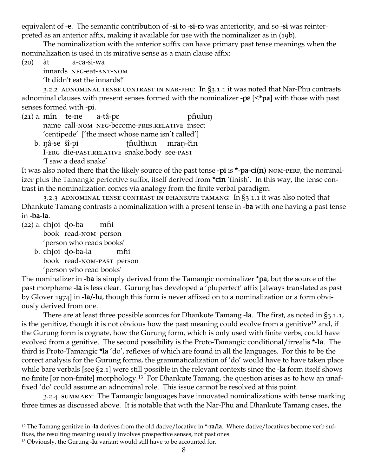<span id="page-7-0"></span>equivalent of **-e**. The semantic contribution of **-si** to **-si-r>** was anteriority, and so **-si** was reinterpreted as an anterior affix, making it available for use with the nominalizer as in (19b).

 The nominalization with the anterior suffix can have primary past tense meanings when the nominalization is used in its mirative sense as a main clause affix:

 $(20)$   $\tilde{a}t$  a-ca-si-wa innards neg-eat-ant-nom 'It didn't eat the innards!'

3.2.2 adnominal tense contrast in nar-phu: In §3.1.1 it was noted that Nar-Phu contrasts adnominal clauses with present senses formed with the nominalizer **-pe** [<**\*pa**] with those with past senses formed with **-pi**.

- $(21)$  a. mîn te-ne a-tâ-p $\varepsilon$  phulun name call-nom neg-become-pres.relative insect 'centipede' ['the insect whose name isn't called']
	- b. nâ-se šî-pi en fitulthun mran-čin I-erg die-past.relative snake.body see-past 'I saw a dead snake'

It was also noted there that the likely source of the past tense -pi is \*-pa-ci(n) NOM-PERF, the nominalizer plus the Tamangic perfective suffix, itself derived from **\*cin** 'finish'. In this way, the tense contrast in the nominalization comes via analogy from the finite verbal paradigm.

3.2.3 adnominal tense contrast in dhankute tamang: In §3.1.1 it was also noted that Dhankute Tamang contrasts a nominalization with a present tense in **-ba** with one having a past tense in **-ba-la**.

 $(22)$  a. chjoi  $qo-ba$  mhi book read-nom person 'person who reads books'

 $\overline{a}$ 

b. chjoi do-ba-la mfii book read-nom-past person 'person who read books'

The nominalizer in **-ba** is simply derived from the Tamangic nominalizer **\*pa**, but the source of the past morpheme **-la** is less clear. Gurung has developed a 'pluperfect' affix [always translated as past by Glover 1974] in **-la/-lu**, though this form is never affixed on to a nominalization or a form obviously derived from one.

 There are at least three possible sources for Dhankute Tamang **-la**. The first, as noted in §3.1.1, is the genitive, though it is not obvious how the past meaning could evolve from a genitive<sup>[12](#page-7-0)</sup> and, if the Gurung form is cognate, how the Gurung form, which is only used with finite verbs, could have evolved from a genitive. The second possibility is the Proto-Tamangic conditional/irrealis **\*-la**. The third is Proto-Tamangic **\*la** 'do', reflexes of which are found in all the languages. For this to be the correct analysis for the Gurung forms, the grammaticalization of 'do' would have to have taken place while bare verbals [see §2.1] were still possible in the relevant contexts since the **-la** form itself shows no finite [or non-finite] morphology.[13](#page-7-0) For Dhankute Tamang, the question arises as to how an unaffixed 'do' could assume an adnominal role. This issue cannot be resolved at this point.

3.2.4 summary: The Tamangic languages have innovated nominalizations with tense marking three times as discussed above. It is notable that with the Nar-Phu and Dhankute Tamang cases, the

<sup>12</sup> The Tamang genitive in **-la** derives from the old dative/locative in **\*-ra/la**. Where dative/locatives become verb suffixes, the resulting meaning usually involves prospective senses, not past ones.

<sup>13</sup> Obviously, the Gurung **-lu** variant would still have to be accounted for.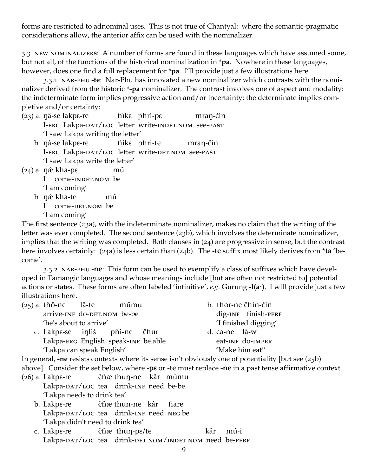forms are restricted to adnominal uses. This is not true of Chantyal: where the semantic-pragmatic considerations allow, the anterior affix can be used with the nominalizer.

3.3 new nominalizers: A number of forms are found in these languages which have assumed some, but not all, of the functions of the historical nominalization in \***pa**. Nowhere in these languages, however, does one find a full replacement for \***pa**. I'll provide just a few illustrations here.

 3.3.1 nar-phu **-te**: Nar-Phu has innovated a new nominalizer which contrasts with the nominalizer derived from the historic \***-pa** nominalizer. The contrast involves one of aspect and modality: the indeterminate form implies progressive action and/or incertainty; the determinate implies completive and/or certainty:

 $(23)$  a.  $n\hat{a}$ -se lakpe-re <br> âjke phri-pe mran-čin I-ERG Lakpa-DAT/LOC letter write-INDET.NOM see-PAST 'I saw Lakpa writing the letter'

b. nâ-se lakpe-re hîke phri-te mran-čin I-ERG Lakpa-DAT/LOC letter write-DET.NOM see-PAST 'I saw Lakpa write the letter'

(24) a. ¤'û kha-pÀ muü

I come-indet.nom be

'I am coming'

b. n $\hat{x}$  kha-te mû

I come-DET.NOM be

'I am coming'

The first sentence (23a), with the indeterminate nominalizer, makes no claim that the writing of the letter was ever completed. The second sentence (23b), which involves the determinate nominalizer, implies that the writing was completed. Both clauses in (24) are progressive in sense, but the contrast here involves certainly: (24a) is less certain than (24b). The **-te** suffix most likely derives from \***ta** 'become'.

 3.3.2 nar-phu **-ne**: This form can be used to exemplify a class of suffixes which have developed in Tamangic languages and whose meanings include [but are often not restricted to] potential actions or states. These forms are often labeled 'infinitive', *e.g.* Gurung **-l(a·)**. I will provide just a few illustrations here.

| $(25)$ a. thô-ne lâ-te              |                               | mûmu |                  |                      | b. thor-ne čhin-čin |  |
|-------------------------------------|-------------------------------|------|------------------|----------------------|---------------------|--|
|                                     | arrive-INF do-DET.NOM be-be   |      |                  |                      | dig-INF finish-PERF |  |
| 'he's about to arrive'              |                               |      |                  | 'I finished digging' |                     |  |
|                                     | c. Lakpe-se inliš phi-ne čhur |      |                  | d. ca-ne lâ-w        |                     |  |
| Lakpa-ERG English speak-INF be.able |                               |      | eat-INF do-IMPER |                      |                     |  |
| 'Lakpa can speak English'           |                               |      | 'Make him eat!'  |                      |                     |  |

In general, **-ne** resists contexts where its sense isn't obviously one of potentiality [but see (25b)

above]. Consider the set below, where **-pe** or **-te** must replace **-ne** in a past tense affirmative context.

- $(26)$  a. Lakpe-re  $\check{\text{c}}$  the thun-ne kat mumu  $Lakpa-DAT/LOC$  tea drink-INF need be-be 'Lakpa needs to drink tea'
	- b. Lakpe-re » čhæ thun-ne kâr fiare Lakpa-DAT/LOC tea drink-INF need NEG.be 'Lakpa didn't need to drink tea'
	- c. Lakpe-re » čhæ thun-pe/te » kâr mû-i Lakpa-dat/Loc tea drink-DET.NOM/INDET.NOM need be-PERF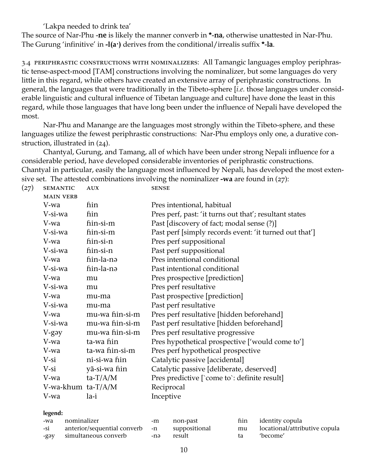'Lakpa needed to drink tea'

The source of Nar-Phu **-ne** is likely the manner converb in **\*-na**, otherwise unattested in Nar-Phu. The Gurung 'infinitive' in **-l(a·)** derives from the conditional/irrealis suffix **\*-la**.

3.4 periphrastic constructions with nominalizers: All Tamangic languages employ periphrastic tense-aspect-mood [TAM] constructions involving the nominalizer, but some languages do very little in this regard, while others have created an extensive array of periphrastic constructions. In general, the languages that were traditionally in the Tibeto-sphere [*i.e.* those languages under considerable linguistic and cultural influence of Tibetan language and culture] have done the least in this regard, while those languages that have long been under the influence of Nepali have developed the most.

 Nar-Phu and Manange are the languages most strongly within the Tibeto-sphere, and these languages utilize the fewest periphrastic constructions: Nar-Phu employs only one, a durative construction, illustrated in (24).

 Chantyal, Gurung, and Tamang, all of which have been under strong Nepali influence for a considerable period, have developed considerable inventories of periphrastic constructions. Chantyal in particular, easily the language most influenced by Nepali, has developed the most extensive set. The attested combinations involving the nominalizer **-wa** are found in (27):

| (27) | <b>SEMANTIC</b>    | <b>AUX</b>      | <b>SENSE</b>                                           |
|------|--------------------|-----------------|--------------------------------------------------------|
|      | <b>MAIN VERB</b>   |                 |                                                        |
|      | V-wa               | hin             | Pres intentional, habitual                             |
|      | V-si-wa            | hin             | Pres perf, past: 'it turns out that'; resultant states |
|      | V-wa               | fin-si-m        | Past [discovery of fact; modal sense (?)]              |
|      | V-si-wa            | fiin-si-m       | Past perf [simply records event: 'it turned out that'] |
|      | V-wa               | hin-si-n        | Pres perf suppositional                                |
|      | V-si-wa            | fiin-si-n       | Past perf suppositional                                |
|      | V-wa               | fiin-la-na      | Pres intentional conditional                           |
|      | V-si-wa            | fiin-la-na      | Past intentional conditional                           |
|      | V-wa               | mu              | Pres prospective [prediction]                          |
|      | V-si-wa            | mu              | Pres perf resultative                                  |
|      | V-wa               | mu-ma           | Past prospective [prediction]                          |
|      | V-si-wa            | mu-ma           | Past perf resultative                                  |
|      | V-wa               | mu-wa fiin-si-m | Pres perf resultative [hidden beforehand]              |
|      | V-si-wa            | mu-wa fiin-si-m | Past perf resultative [hidden beforehand]              |
|      | $V-gay$            | mu-wa fiin-si-m | Pres perf resultative progressive                      |
|      | V-wa               | ta-wa fiin      | Pres hypothetical prospective ['would come to']        |
|      | V-wa               | ta-wa fiin-si-m | Pres perf hypothetical prospective                     |
|      | V-si               | ni-si-wa fiin   | Catalytic passive [accidental]                         |
|      | $V$ -si            | yã-si-wa fiin   | Catalytic passive [deliberate, deserved]               |
|      | V-wa               | $ta-T/A/M$      | Pres predictive [`come to`: definite result]           |
|      | V-wa-khum ta-T/A/M |                 | Reciprocal                                             |
|      | V-wa               | la-i            | Inceptive                                              |
|      |                    |                 |                                                        |

#### **legend:**

| -wa    | nominalizer                                  | -m  | non-past |    | fiin identity copula          |
|--------|----------------------------------------------|-----|----------|----|-------------------------------|
| -si    | anterior/sequential converb -n suppositional |     |          | mu | locational/attributive copula |
| $-gay$ | simultaneous converb                         | -nə | result   | ta | 'become'                      |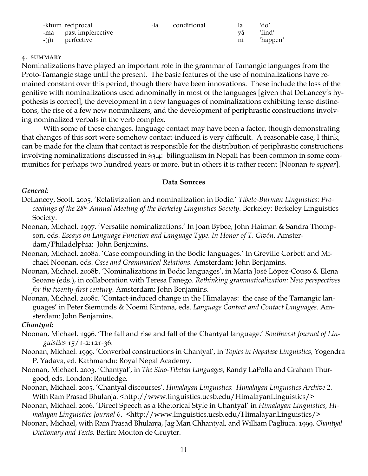| -khum reciprocal      | -la | conditional |         | 'do'     |
|-----------------------|-----|-------------|---------|----------|
| -ma past impferective |     |             | vã      | 'find'   |
| $-(i)i$ perfective    |     |             | $n_{1}$ | 'happen' |

#### 4. summary

Nominalizations have played an important role in the grammar of Tamangic languages from the Proto-Tamangic stage until the present. The basic features of the use of nominalizations have remained constant over this period, though there have been innovations. These include the loss of the genitive with nominalizations used adnominally in most of the languages [given that DeLancey's hypothesis is correct], the development in a few languages of nominalizations exhibiting tense distinctions, the rise of a few new nominalizers, and the development of periphrastic constructions involving nominalized verbals in the verb complex.

 With some of these changes, language contact may have been a factor, though demonstrating that changes of this sort were somehow contact-induced is very difficult. A reasonable case, I think, can be made for the claim that contact is responsible for the distribution of periphrastic constructions involving nominalizations discussed in §3.4: bilingualism in Nepali has been common in some communities for perhaps two hundred years or more, but in others it is rather recent [Noonan *to appear*].

#### **Data Sources**

#### *General:*

- DeLancey, Scott. 2005. 'Relativization and nominalization in Bodic.' *Tibeto-Burman Linguistics: Proceedings of the 28th Annual Meeting of the Berkeley Linguistics Society*. Berkeley: Berkeley Linguistics Society.
- Noonan, Michael. 1997. 'Versatile nominalizations.' In Joan Bybee, John Haiman & Sandra Thompson, eds. *Essays on Language Function and Language Type. In Honor of T. Givón*. Amsterdam/Philadelphia: John Benjamins.
- Noonan, Michael. 2008a. 'Case compounding in the Bodic languages.' In Greville Corbett and Michael Noonan, eds. *Case and Grammatical Relations*. Amsterdam: John Benjamins.
- Noonan, Michael. 2008b. 'Nominalizations in Bodic languages', in María José López-Couso & Elena Seoane (eds.), in collaboration with Teresa Fanego. *Rethinking grammaticalization: New perspectives for the twenty-first century*. Amsterdam: John Benjamins.
- Noonan, Michael. 2008c. 'Contact-induced change in the Himalayas: the case of the Tamangic languages' in Peter Siemunds & Noemi Kintana, eds. *Language Contact and Contact Languages*. Amsterdam: John Benjamins.

#### *Chantyal:*

- Noonan, Michael. 1996. 'The fall and rise and fall of the Chantyal language.' *Southwest Journal of Linguistics* 15/1-2:121-36.
- Noonan, Michael. 1999. 'Converbal constructions in Chantyal', in *Topics in Nepalese Linguistics*, Yogendra P. Yadava, ed. Kathmandu: Royal Nepal Academy.
- Noonan, Michael. 2003. 'Chantyal', in *The Sino-Tibetan Languages*, Randy LaPolla and Graham Thurgood, eds. London: Routledge.
- Noonan, Michael. 2005. 'Chantyal discourses'. *Himalayan Linguistics*: *Himalayan Linguistics Archive 2*. With Ram Prasad Bhulanja. <http://www.linguistics.ucsb.edu/HimalayanLinguistics/>
- Noonan, Michael. 2006. 'Direct Speech as a Rhetorical Style in Chantyal' in *Himalayan Linguistics, Himalayan Linguistics Journal 6.*  $\frac{\text{th}}{\text{t}}/$ www.linguistics.ucsb.edu/HimalayanLinguistics/>
- Noonan, Michael, with Ram Prasad Bhulanja, Jag Man Chhantyal, and William Pagliuca. 1999. *Chantyal Dictionary and Texts*. Berlin: Mouton de Gruyter.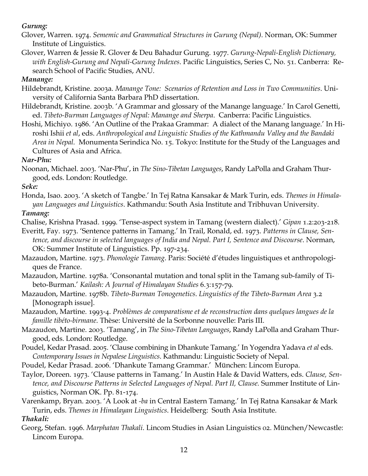# *Gurung:*

- Glover, Warren. 1974. *Sememic and Grammatical Structures in Gurung (Nepal)*. Norman, OK: Summer Institute of Linguistics.
- Glover, Warren & Jessie R. Glover & Deu Bahadur Gurung. 1977. *Gurung-Nepali-English Dictionary, with English-Gurung and Nepali-Gurung Indexes*. Pacific Linguistics, Series C, No. 51. Canberra: Research School of Pacific Studies, ANU.

## *Manange:*

- Hildebrandt, Kristine. 2003a. *Manange Tone: Scenarios of Retention and Loss in Two Communities*. University of California Santa Barbara PhD dissertation.
- Hildebrandt, Kristine. 2003b. 'A Grammar and glossary of the Manange language.' In Carol Genetti, ed. *Tibeto-Burman Languages of Nepal: Manange and Sherpa*. Canberra: Pacific Linguistics.
- Hoshi, Michiyo. 1986. 'An Outline of the Prakaa Grammar: A dialect of the Manang language.' In Hiroshi Ishii *et al*, eds. *Anthropological and Linguistic Studies of the Kathmandu Valley and the Bandaki Area in Nepal.* Monumenta Serindica No. 15. Tokyo: Institute for the Study of the Languages and Cultures of Asia and Africa.

# *Nar-Phu:*

Noonan, Michael. 2003. 'Nar-Phu', in *The Sino-Tibetan Languages*, Randy LaPolla and Graham Thurgood, eds. London: Routledge.

*Seke:*

Honda, Isao. 2003. 'A sketch of Tangbe.' In Tej Ratna Kansakar & Mark Turin, eds. *Themes in Himalayan Languages and Linguistics*. Kathmandu: South Asia Institute and Tribhuvan University. *Tamang:*

Chalise, Krishna Prasad. 1999. 'Tense-aspect system in Tamang (western dialect).' *Gipan* 1.2:203-218.

- Everitt, Fay. 1973. 'Sentence patterns in Tamang.' In Trail, Ronald, ed. 1973. *Patterns in Clause, Sentence, and discourse in selected languages of India and Nepal. Part I, Sentence and Discourse*. Norman, OK: Summer Institute of Linguistics. Pp. 197-234.
- Mazaudon, Martine. 1973. *Phonologie Tamang*. Paris: Société d'études linguistiques et anthropologiques de France.
- Mazaudon, Martine. 1978a. 'Consonantal mutation and tonal split in the Tamang sub-family of Tibeto-Burman.' *Kailash: A Journal of Himalayan Studies* 6.3:157-79.
- Mazaudon, Martine. 1978b. *Tibeto-Burman Tonogenetics*. *Linguistics of the Tibeto-Burman Area* 3.2 [Monograph issue].
- Mazaudon, Martine. 1993-4. *Problèmes de comparatisme et de reconstruction dans quelques langues de la famille tibéto-birmane*. Thèse: Université de la Sorbonne nouvelle: Paris III.
- Mazaudon, Martine. 2003. 'Tamang', in *The Sino-Tibetan Languages*, Randy LaPolla and Graham Thurgood, eds. London: Routledge.
- Poudel, Kedar Prasad. 2005. 'Clause combining in Dhankute Tamang.' In Yogendra Yadava *et al* eds. *Contemporary Issues in Nepalese Linguistics*. Kathmandu: Linguistic Society of Nepal.
- Poudel, Kedar Prasad. 2006. 'Dhankute Tamang Grammar.' München: Lincom Europa.
- Taylor, Doreen. 1973. 'Clause patterns in Tamang.' In Austin Hale & David Watters, eds. *Clause, Sentence, and Discourse Patterns in Selected Languages of Nepal. Part II, Clause.* Summer Institute of Linguistics, Norman OK. Pp. 81-174.
- Varenkamp, Bryan. 2003. 'A Look at *-ba* in Central Eastern Tamang.' In Tej Ratna Kansakar & Mark Turin, eds. *Themes in Himalayan Linguistics*. Heidelberg: South Asia Institute.

*Thakali:*

Georg, Stefan. 1996. *Marphatan Thakali*. Lincom Studies in Asian Linguistics 02. München/Newcastle: Lincom Europa.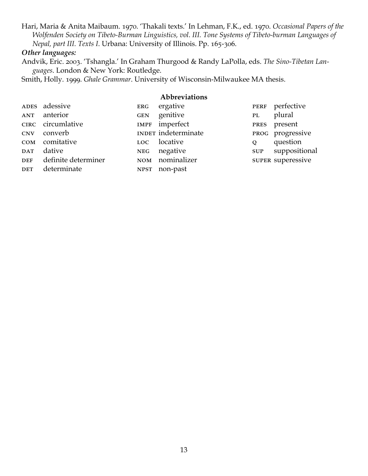Hari, Maria & Anita Maibaum. 1970. 'Thakali texts.' In Lehman, F.K., ed. 1970. *Occasional Papers of the Wolfenden Society on Tibeto-Burman Linguistics, vol. III. Tone Systems of Tibeto-burman Languages of Nepal, part III. Texts I*. Urbana: University of Illinois. Pp. 165-306.

### *Other languages:*

Andvik, Eric. 2003. 'Tshangla.' In Graham Thurgood & Randy LaPolla, eds. *The Sino-Tibetan Languages*. London & New York: Routledge.

Smith, Holly. 1999. *Ghale Grammar*. University of Wisconsin-Milwaukee MA thesis.

### **Abbreviations**

|            | ADES adessive       | ERG ergative               |      | PERF perfective   |
|------------|---------------------|----------------------------|------|-------------------|
|            | ANT anterior        | GEN genitive               | PL   | plural            |
|            | CIRC circumlative   | IMPF imperfect             | PRES | present           |
|            | CNV converb         | <b>INDET</b> indeterminate |      | PROG progressive  |
|            | COM comitative      | LOC locative               | Q    | question          |
| <b>DAT</b> | dative              | NEG negative               |      | sup suppositional |
| <b>DEF</b> | definite determiner | NOM nominalizer            |      | SUPER superessive |
| <b>DET</b> | determinate         | NPST non-past              |      |                   |